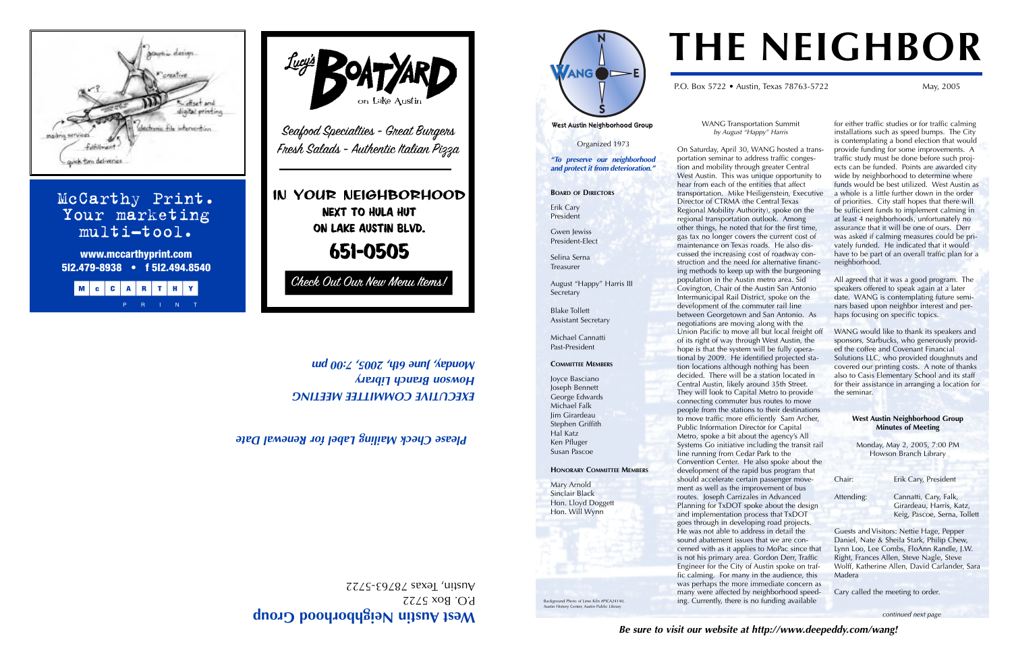West Austin Neighborhood Croup

WANG Transportation Summit *by August "Happy" Harris*

On Saturday, April 30, WANG hosted a transportation seminar to address traffic congestion and mobility through greater Central West Austin. This was unique opportunity to hear from each of the entities that affect transportation. Mike Heiligenstein, Executive Director of CTRMA (the Central Texas Regional Mobility Authority), spoke on the regional transportation outlook. Among other things, he noted that for the first time, gas tax no longer covers the current cost of maintenance on Texas roads. He also discussed the increasing cost of roadway construction and the need for alternative financing methods to keep up with the burgeoning population in the Austin metro area. Sid Covington, Chair of the Austin San Antonio Intermunicipal Rail District, spoke on the development of the commuter rail line between Georgetown and San Antonio. As negotiations are moving along with the Union Pacific to move all but local freight off of its right of way through West Austin, the hope is that the system will be fully operational by 2009. He identified projected station locations although nothing has been decided. There will be a station located in Central Austin, likely around 35th Street. They will look to Capital Metro to provide connecting commuter bus routes to move people from the stations to their destinations to move traffic more efficiently Sam Archer, Public Information Director for Capital Metro, spoke a bit about the agency's All Systems Go initiative including the transit rail line running from Cedar Park to the Convention Center. He also spoke about the development of the rapid bus program that should accelerate certain passenger movement as well as the improvement of bus routes. Joseph Carrizales in Advanced Planning for TxDOT spoke about the design and implementation process that TxDOT goes through in developing road projects. He was not able to address in detail the sound abatement issues that we are concerned with as it applies to MoPac since that is not his primary area. Gordon Derr, Traffic Engineer for the City of Austin spoke on traffic calming. For many in the audience, this was perhaps the more immediate concern as many were affected by neighborhood speeding. Currently, there is no funding available

Attending: Cannatti, Cary, Falk, Girardeau, Harris, Katz, Keig, Pascoe, Serna, Tollett

P.O. Box 5722  $ZZZS$ - $E9Z8Z$  sexal 'unsny

*EXECUTIVE COMMITTEE MEETING ary Libr h anc wson Br Ho Monday, June 6th, 2007, 419 pune 4th and 00:4 '419 pune 4th and 00:4 '400 pm'* 

Background Photo of Lime Kiln #PICA24140, **History Center, Austin Public Librar** 

**5I2.479-8938 • f 5I2.494.8540** Check Out Our New Menu Items! MCCARTHY

for either traffic studies or for traffic calming installations such as speed bumps. The City is contemplating a bond election that would provide funding for some improvements. A traffic study must be done before such projects can be funded. Points are awarded city wide by neighborhood to determine where funds would be best utilized. West Austin as a whole is a little further down in the order of priorities. City staff hopes that there will be sufficient funds to implement calming in at least 4 neighborhoods, unfortunately no assurance that it will be one of ours. Derr was asked if calming measures could be privately funded. He indicated that it would have to be part of an overall traffic plan for a neighborhood.

All agreed that it was a good program. The speakers offered to speak again at a later date. WANG is contemplating future seminars based upon neighbor interest and perhaps focusing on specific topics.

WANG would like to thank its speakers and sponsors, Starbucks, who generously provided the coffee and Covenant Financial Solutions LLC, who provided doughnuts and covered our printing costs. A note of thanks also to Casis Elementary School and its staff for their assistance in arranging a location for the seminar.

### **West Austin Neighborhood Group Minutes of Meeting**

Monday, May 2, 2005, 7:00 PM Howson Branch Library

Chair: Erik Cary, President

Guests and Visitors: Nettie Hage, Pepper Daniel, Nate & Sheila Stark, Philip Chew, Lynn Loo, Lee Combs, FloAnn Randle, J.W. Right, Frances Allen, Steve Nagle, Steve Wolff, Katherine Allen, David Carlander, Sara Madera

Cary called the meeting to order.

# **THE NEIGHBOR**

Organized 1973 *"To preserve our neighborhood*

West Austin Neighborhood Group

 $ANG \rightarrow E$ 

*and protect it from deterioration."* **BOARD OF DIRECTORS**

P.O. Box 5722 • Austin, Texas 78763-5722 May, 2005

Erik Cary President Gwen Jewiss President-Elect

Selina Serna Treasurer

August "Happy" Harris III Secretary

Blake Tollett Assistant Secretary

Michael Cannatti Past-President

**COMMITTEE MEMBERS**

Joyce Basciano Joseph Bennett George Edwards Michael Falk Jim Girardeau Stephen Griffith Hal Katz Ken Pfluger Susan Pascoe

**HONORARY COMMITTEE MEMBERS**

Mary Arnold Sinclair Black Hon. Lloyd Doggett Hon. Will Wynn

*Mailing Label for Renewal Date k Please Chec*

McCarthy Print. Your marketing multi-tool. **www.mccarthyprint.com**



kin elektron



Seafood Specialties - Great Bungers Fresh Salads - Authentic Italian Pizza

IN YOUR NEIGHBORHOOD NEXT TO HULA HUT ON LAKE AUSTIN BLVD.

651-0505

*continued next page*